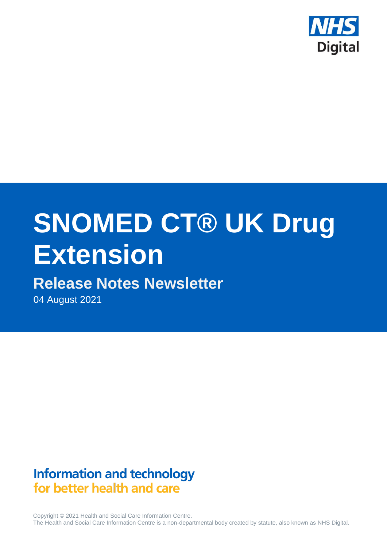

# **SNOMED CT® UK Drug Extension**

# **Release Notes Newsletter**

04 August 2021

# **Information and technology** for better health and care

Copyright © 2021 Health and Social Care Information Centre. The Health and Social Care Information Centre is a non-departmental body created by statute, also known as NHS Digital.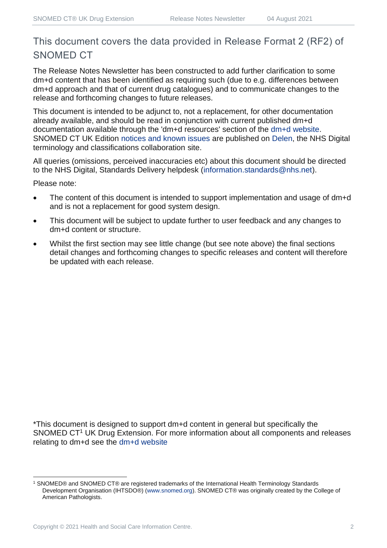#### This document covers the data provided in Release Format 2 (RF2) of SNOMED CT

The Release Notes Newsletter has been constructed to add further clarification to some dm+d content that has been identified as requiring such (due to e.g. differences between dm+d approach and that of current drug catalogues) and to communicate changes to the release and forthcoming changes to future releases.

This document is intended to be adjunct to, not a replacement, for other documentation already available, and should be read in conjunction with current published dm+d documentation available through the 'dm+d resources' section of the [dm+d website.](https://www.nhsbsa.nhs.uk/pharmacies-gp-practices-and-appliance-contractors/dictionary-medicines-and-devices-dmd) SNOMED CT UK Edition [notices and known issues](https://hscic.kahootz.com/connect.ti/t_c_home/view?objectId=14224752) are published on [Delen,](https://hscic.kahootz.com/connect.ti/t_c_home) the NHS Digital terminology and classifications collaboration site.

All queries (omissions, perceived inaccuracies etc) about this document should be directed to the NHS Digital, Standards Delivery helpdesk [\(information.standards@nhs.net\)](mailto:information.standards@nhs.net).

Please note:

- The content of this document is intended to support implementation and usage of dm+d and is not a replacement for good system design.
- This document will be subject to update further to user feedback and any changes to dm+d content or structure.
- Whilst the first section may see little change (but see note above) the final sections detail changes and forthcoming changes to specific releases and content will therefore be updated with each release.

\*This document is designed to support dm+d content in general but specifically the SNOMED CT<sup>1</sup> UK Drug Extension. For more information about all components and releases relating to dm+d see the [dm+d website](https://www.nhsbsa.nhs.uk/pharmacies-gp-practices-and-appliance-contractors/dictionary-medicines-and-devices-dmd)

<sup>1</sup> SNOMED® and SNOMED CT® are registered trademarks of the International Health Terminology Standards Development Organisation (IHTSDO®) [\(www.snomed.org\)](http://www.snomed.org/). SNOMED CT® was originally created by the College of American Pathologists.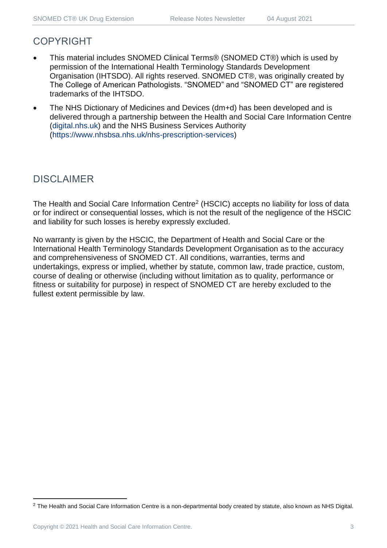#### COPYRIGHT

- This material includes SNOMED Clinical Terms® (SNOMED CT®) which is used by permission of the International Health Terminology Standards Development Organisation (IHTSDO). All rights reserved. SNOMED CT®, was originally created by The College of American Pathologists. "SNOMED" and "SNOMED CT" are registered trademarks of the IHTSDO.
- The NHS Dictionary of Medicines and Devices (dm+d) has been developed and is delivered through a partnership between the Health and Social Care Information Centre [\(digital.nhs.uk\)](https://digital.nhs.uk/) and the NHS Business Services Authority [\(https://www.nhsbsa.nhs.uk/nhs-prescription-services\)](https://www.nhsbsa.nhs.uk/nhs-prescription-services)

#### DISCLAIMER

The Health and Social Care Information Centre<sup>2</sup> (HSCIC) accepts no liability for loss of data or for indirect or consequential losses, which is not the result of the negligence of the HSCIC and liability for such losses is hereby expressly excluded.

No warranty is given by the HSCIC, the Department of Health and Social Care or the International Health Terminology Standards Development Organisation as to the accuracy and comprehensiveness of SNOMED CT. All conditions, warranties, terms and undertakings, express or implied, whether by statute, common law, trade practice, custom, course of dealing or otherwise (including without limitation as to quality, performance or fitness or suitability for purpose) in respect of SNOMED CT are hereby excluded to the fullest extent permissible by law.

<sup>&</sup>lt;sup>2</sup> The Health and Social Care Information Centre is a non-departmental body created by statute, also known as NHS Digital.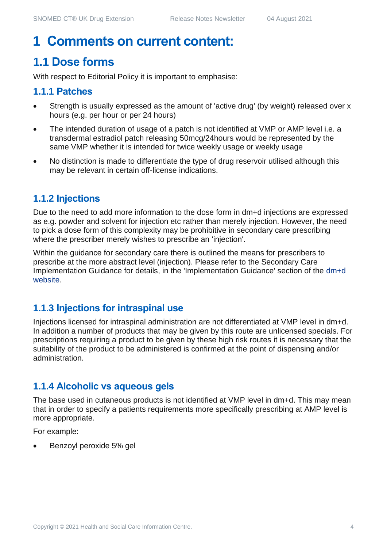## **1 Comments on current content:**

## **1.1 Dose forms**

With respect to Editorial Policy it is important to emphasise:

#### **1.1.1 Patches**

- Strength is usually expressed as the amount of 'active drug' (by weight) released over x hours (e.g. per hour or per 24 hours)
- The intended duration of usage of a patch is not identified at VMP or AMP level i.e. a transdermal estradiol patch releasing 50mcg/24hours would be represented by the same VMP whether it is intended for twice weekly usage or weekly usage
- No distinction is made to differentiate the type of drug reservoir utilised although this may be relevant in certain off-license indications.

#### **1.1.2 Injections**

Due to the need to add more information to the dose form in dm+d injections are expressed as e.g. powder and solvent for injection etc rather than merely injection. However, the need to pick a dose form of this complexity may be prohibitive in secondary care prescribing where the prescriber merely wishes to prescribe an 'injection'.

Within the guidance for secondary care there is outlined the means for prescribers to prescribe at the more abstract level (injection). Please refer to the Secondary Care Implementation Guidance for details, in the 'Implementation Guidance' section of the [dm+d](https://www.nhsbsa.nhs.uk/pharmacies-gp-practices-and-appliance-contractors/dictionary-medicines-and-devices-dmd)  [website.](https://www.nhsbsa.nhs.uk/pharmacies-gp-practices-and-appliance-contractors/dictionary-medicines-and-devices-dmd)

#### **1.1.3 Injections for intraspinal use**

Injections licensed for intraspinal administration are not differentiated at VMP level in dm+d. In addition a number of products that may be given by this route are unlicensed specials. For prescriptions requiring a product to be given by these high risk routes it is necessary that the suitability of the product to be administered is confirmed at the point of dispensing and/or administration.

#### **1.1.4 Alcoholic vs aqueous gels**

The base used in cutaneous products is not identified at VMP level in dm+d. This may mean that in order to specify a patients requirements more specifically prescribing at AMP level is more appropriate.

For example:

• Benzoyl peroxide 5% gel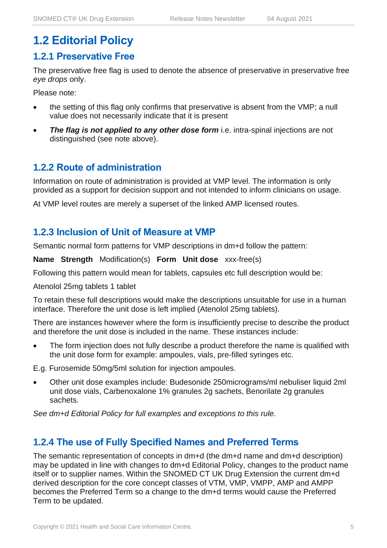#### **1.2 Editorial Policy**

#### **1.2.1 Preservative Free**

The preservative free flag is used to denote the absence of preservative in preservative free *eye drops* only.

Please note:

- the setting of this flag only confirms that preservative is absent from the VMP; a null value does not necessarily indicate that it is present
- **The flag is not applied to any other dose form** i.e. intra-spinal injections are not distinguished (see note above).

#### **1.2.2 Route of administration**

Information on route of administration is provided at VMP level. The information is only provided as a support for decision support and not intended to inform clinicians on usage.

At VMP level routes are merely a superset of the linked AMP licensed routes.

#### **1.2.3 Inclusion of Unit of Measure at VMP**

Semantic normal form patterns for VMP descriptions in dm+d follow the pattern:

**Name Strength** Modification(s) **Form Unit dose** xxx-free(s)

Following this pattern would mean for tablets, capsules etc full description would be:

Atenolol 25mg tablets 1 tablet

To retain these full descriptions would make the descriptions unsuitable for use in a human interface. Therefore the unit dose is left implied (Atenolol 25mg tablets).

There are instances however where the form is insufficiently precise to describe the product and therefore the unit dose is included in the name. These instances include:

The form injection does not fully describe a product therefore the name is qualified with the unit dose form for example: ampoules, vials, pre-filled syringes etc.

E.g. Furosemide 50mg/5ml solution for injection ampoules.

• Other unit dose examples include: Budesonide 250micrograms/ml nebuliser liquid 2ml unit dose vials, Carbenoxalone 1% granules 2g sachets, Benorilate 2g granules sachets.

*See dm+d Editorial Policy for full examples and exceptions to this rule.*

#### **1.2.4 The use of Fully Specified Names and Preferred Terms**

The semantic representation of concepts in dm+d (the dm+d name and dm+d description) may be updated in line with changes to dm+d Editorial Policy, changes to the product name itself or to supplier names. Within the SNOMED CT UK Drug Extension the current dm+d derived description for the core concept classes of VTM, VMP, VMPP, AMP and AMPP becomes the Preferred Term so a change to the dm+d terms would cause the Preferred Term to be updated.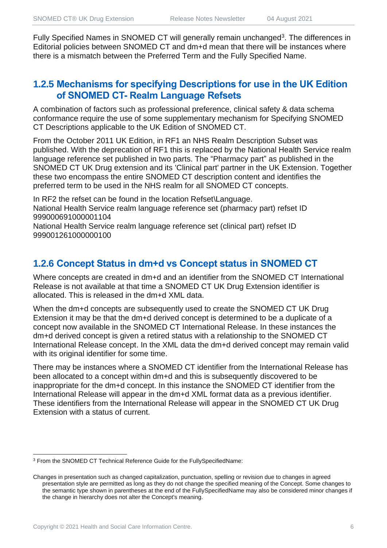Fully Specified Names in SNOMED CT will generally remain unchanged<sup>3</sup>. The differences in Editorial policies between SNOMED CT and dm+d mean that there will be instances where there is a mismatch between the Preferred Term and the Fully Specified Name.

#### **1.2.5 Mechanisms for specifying Descriptions for use in the UK Edition of SNOMED CT- Realm Language Refsets**

A combination of factors such as professional preference, clinical safety & data schema conformance require the use of some supplementary mechanism for Specifying SNOMED CT Descriptions applicable to the UK Edition of SNOMED CT.

From the October 2011 UK Edition, in RF1 an NHS Realm Description Subset was published. With the deprecation of RF1 this is replaced by the National Health Service realm language reference set published in two parts. The "Pharmacy part" as published in the SNOMED CT UK Drug extension and its 'Clinical part' partner in the UK Extension. Together these two encompass the entire SNOMED CT description content and identifies the preferred term to be used in the NHS realm for all SNOMED CT concepts.

In RF2 the refset can be found in the location Refset\Language. National Health Service realm language reference set (pharmacy part) refset ID 999000691000001104

National Health Service realm language reference set (clinical part) refset ID 999001261000000100

#### **1.2.6 Concept Status in dm+d vs Concept status in SNOMED CT**

Where concepts are created in dm+d and an identifier from the SNOMED CT International Release is not available at that time a SNOMED CT UK Drug Extension identifier is allocated. This is released in the dm+d XML data.

When the dm+d concepts are subsequently used to create the SNOMED CT UK Drug Extension it may be that the dm+d derived concept is determined to be a duplicate of a concept now available in the SNOMED CT International Release. In these instances the dm+d derived concept is given a retired status with a relationship to the SNOMED CT International Release concept. In the XML data the dm+d derived concept may remain valid with its original identifier for some time.

There may be instances where a SNOMED CT identifier from the International Release has been allocated to a concept within dm+d and this is subsequently discovered to be inappropriate for the dm+d concept. In this instance the SNOMED CT identifier from the International Release will appear in the dm+d XML format data as a previous identifier. These identifiers from the International Release will appear in the SNOMED CT UK Drug Extension with a status of current.

<sup>3</sup> From the SNOMED CT Technical Reference Guide for the FullySpecifiedName:

Changes in presentation such as changed capitalization, punctuation, spelling or revision due to changes in agreed presentation style are permitted as long as they do not change the specified meaning of the Concept. Some changes to the semantic type shown in parentheses at the end of the FullySpecifiedName may also be considered minor changes if the change in hierarchy does not alter the Concept's meaning.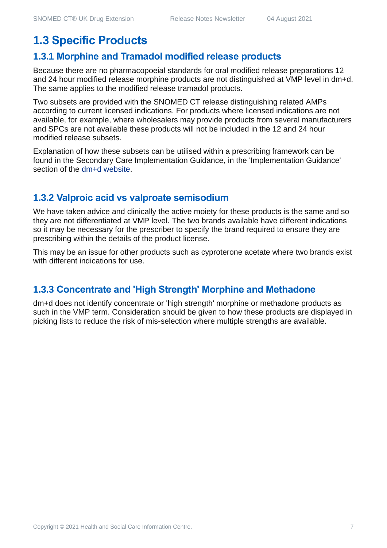## **1.3 Specific Products**

#### **1.3.1 Morphine and Tramadol modified release products**

Because there are no pharmacopoeial standards for oral modified release preparations 12 and 24 hour modified release morphine products are not distinguished at VMP level in dm+d. The same applies to the modified release tramadol products.

Two subsets are provided with the SNOMED CT release distinguishing related AMPs according to current licensed indications. For products where licensed indications are not available, for example, where wholesalers may provide products from several manufacturers and SPCs are not available these products will not be included in the 12 and 24 hour modified release subsets.

Explanation of how these subsets can be utilised within a prescribing framework can be found in the Secondary Care Implementation Guidance, in the 'Implementation Guidance' section of the [dm+d website.](https://www.nhsbsa.nhs.uk/pharmacies-gp-practices-and-appliance-contractors/dictionary-medicines-and-devices-dmd)

#### **1.3.2 Valproic acid vs valproate semisodium**

We have taken advice and clinically the active moiety for these products is the same and so they are not differentiated at VMP level. The two brands available have different indications so it may be necessary for the prescriber to specify the brand required to ensure they are prescribing within the details of the product license.

This may be an issue for other products such as cyproterone acetate where two brands exist with different indications for use.

#### **1.3.3 Concentrate and 'High Strength' Morphine and Methadone**

dm+d does not identify concentrate or 'high strength' morphine or methadone products as such in the VMP term. Consideration should be given to how these products are displayed in picking lists to reduce the risk of mis-selection where multiple strengths are available.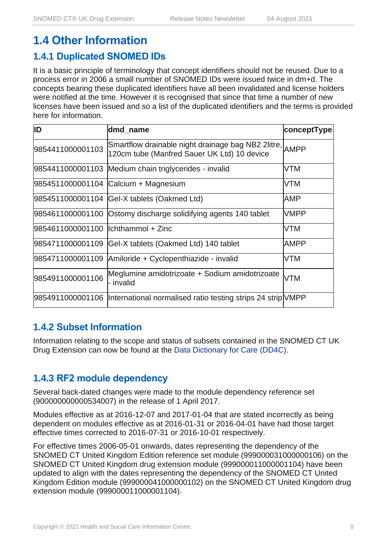## **1.4 Other Information**

#### **1.4.1 Duplicated SNOMED IDs**

It is a basic principle of terminology that concept identifiers should not be reused. Due to a process error in 2006 a small number of SNOMED IDs were issued twice in dm+d. The concepts bearing these duplicated identifiers have all been invalidated and license holders were notified at the time. However it is recognised that since that time a number of new licenses have been issued and so a list of the duplicated identifiers and the terms is provided here for information.

| ID                                  | dmd_name                                                                                               | conceptType |
|-------------------------------------|--------------------------------------------------------------------------------------------------------|-------------|
| 9854411000001103                    | Smartflow drainable night drainage bag NB2 2litre, AMPP<br>120cm tube (Manfred Sauer UK Ltd) 10 device |             |
|                                     | 9854411000001103 Medium chain triglycerides - invalid                                                  | <b>VTM</b>  |
|                                     | 9854511000001104 Calcium + Magnesium                                                                   | <b>VTM</b>  |
|                                     | 9854511000001104 Gel-X tablets (Oakmed Ltd)                                                            | AMP         |
|                                     | 9854611000001100 Ostomy discharge solidifying agents 140 tablet                                        | <b>VMPP</b> |
| 9854611000001100  lchthammol + Zinc |                                                                                                        | <b>VTM</b>  |
| 9854711000001109                    | Gel-X tablets (Oakmed Ltd) 140 tablet                                                                  | <b>AMPP</b> |
|                                     | 9854711000001109 Amiloride + Cyclopenthiazide - invalid                                                | <b>VTM</b>  |
| 9854911000001106                    | Meglumine amidotrizoate + Sodium amidotrizoate<br>- invalid                                            | <b>VTM</b>  |
|                                     | 9854911000001106  International normalised ratio testing strips 24 strip VMPP                          |             |

#### **1.4.2 Subset Information**

Information relating to the scope and status of subsets contained in the SNOMED CT UK Drug Extension can now be found at the [Data Dictionary for Care \(DD4C\).](https://dd4c.digital.nhs.uk/dd4c/)

#### **1.4.3 RF2 module dependency**

Several back-dated changes were made to the module dependency reference set (900000000000534007) in the release of 1 April 2017.

Modules effective as at 2016-12-07 and 2017-01-04 that are stated incorrectly as being dependent on modules effective as at 2016-01-31 or 2016-04-01 have had those target effective times corrected to 2016-07-31 or 2016-10-01 respectively.

For effective times 2006-05-01 onwards, dates representing the dependency of the SNOMED CT United Kingdom Edition reference set module (999000031000000106) on the SNOMED CT United Kingdom drug extension module (999000011000001104) have been updated to align with the dates representing the dependency of the SNOMED CT United Kingdom Edition module (999000041000000102) on the SNOMED CT United Kingdom drug extension module (999000011000001104).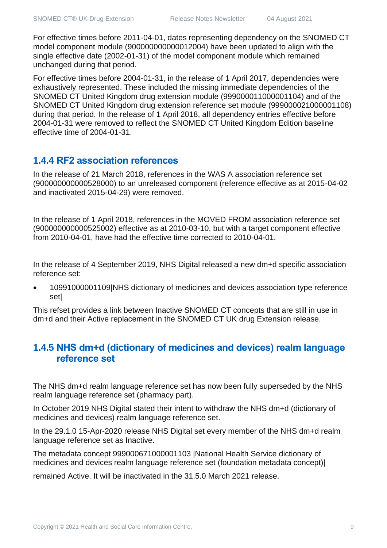For effective times before 2011-04-01, dates representing dependency on the SNOMED CT model component module (900000000000012004) have been updated to align with the single effective date (2002-01-31) of the model component module which remained unchanged during that period.

For effective times before 2004-01-31, in the release of 1 April 2017, dependencies were exhaustively represented. These included the missing immediate dependencies of the SNOMED CT United Kingdom drug extension module (999000011000001104) and of the SNOMED CT United Kingdom drug extension reference set module (999000021000001108) during that period. In the release of 1 April 2018, all dependency entries effective before 2004-01-31 were removed to reflect the SNOMED CT United Kingdom Edition baseline effective time of 2004-01-31.

#### **1.4.4 RF2 association references**

In the release of 21 March 2018, references in the WAS A association reference set (900000000000528000) to an unreleased component (reference effective as at 2015-04-02 and inactivated 2015-04-29) were removed.

In the release of 1 April 2018, references in the MOVED FROM association reference set (900000000000525002) effective as at 2010-03-10, but with a target component effective from 2010-04-01, have had the effective time corrected to 2010-04-01.

In the release of 4 September 2019, NHS Digital released a new dm+d specific association reference set:

• 10991000001109|NHS dictionary of medicines and devices association type reference set|

This refset provides a link between Inactive SNOMED CT concepts that are still in use in dm+d and their Active replacement in the SNOMED CT UK drug Extension release.

#### **1.4.5 NHS dm+d (dictionary of medicines and devices) realm language reference set**

The NHS dm+d realm language reference set has now been fully superseded by the NHS realm language reference set (pharmacy part).

In October 2019 NHS Digital stated their intent to withdraw the NHS dm+d (dictionary of medicines and devices) realm language reference set.

In the 29.1.0 15-Apr-2020 release NHS Digital set every member of the NHS dm+d realm language reference set as Inactive.

The metadata concept 999000671000001103 |National Health Service dictionary of medicines and devices realm language reference set (foundation metadata concept)|

remained Active. It will be inactivated in the 31.5.0 March 2021 release.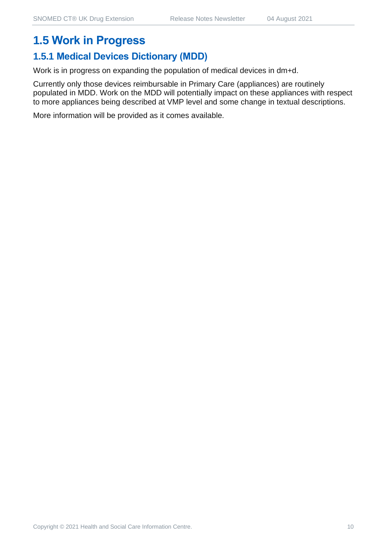#### **1.5 Work in Progress**

#### **1.5.1 Medical Devices Dictionary (MDD)**

Work is in progress on expanding the population of medical devices in dm+d.

Currently only those devices reimbursable in Primary Care (appliances) are routinely populated in MDD. Work on the MDD will potentially impact on these appliances with respect to more appliances being described at VMP level and some change in textual descriptions.

More information will be provided as it comes available.